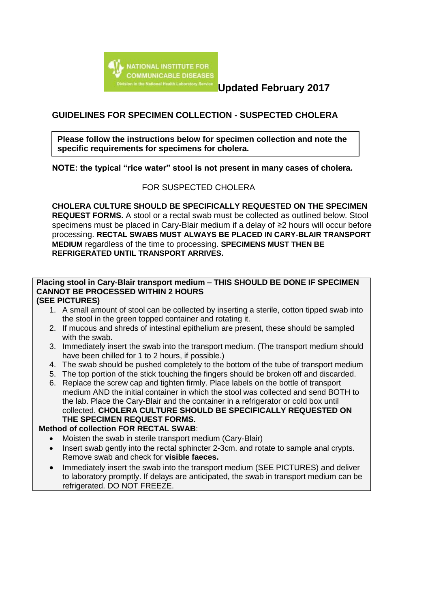

**Updated February 2017**

## **GUIDELINES FOR SPECIMEN COLLECTION - SUSPECTED CHOLERA**

**Please follow the instructions below for specimen collection and note the specific requirements for specimens for cholera.**

**NOTE: the typical "rice water" stool is not present in many cases of cholera.**

### FOR SUSPECTED CHOLERA

**CHOLERA CULTURE SHOULD BE SPECIFICALLY REQUESTED ON THE SPECIMEN REQUEST FORMS.** A stool or a rectal swab must be collected as outlined below. Stool specimens must be placed in Cary-Blair medium if a delay of ≥2 hours will occur before processing. **RECTAL SWABS MUST ALWAYS BE PLACED IN CARY-BLAIR TRANSPORT MEDIUM** regardless of the time to processing. **SPECIMENS MUST THEN BE REFRIGERATED UNTIL TRANSPORT ARRIVES.**

# **Placing stool in Cary-Blair transport medium – THIS SHOULD BE DONE IF SPECIMEN CANNOT BE PROCESSED WITHIN 2 HOURS**

## **(SEE PICTURES)**

- 1. A small amount of stool can be collected by inserting a sterile, cotton tipped swab into the stool in the green topped container and rotating it.
- 2. If mucous and shreds of intestinal epithelium are present, these should be sampled with the swab.
- 3. Immediately insert the swab into the transport medium. (The transport medium should have been chilled for 1 to 2 hours, if possible.)
- 4. The swab should be pushed completely to the bottom of the tube of transport medium
- 5. The top portion of the stick touching the fingers should be broken off and discarded.
- 6. Replace the screw cap and tighten firmly. Place labels on the bottle of transport medium AND the initial container in which the stool was collected and send BOTH to the lab. Place the Cary-Blair and the container in a refrigerator or cold box until collected. **CHOLERA CULTURE SHOULD BE SPECIFICALLY REQUESTED ON THE SPECIMEN REQUEST FORMS.**

#### **Method of collection FOR RECTAL SWAB**:

- Moisten the swab in sterile transport medium (Cary-Blair)
- Insert swab gently into the rectal sphincter 2-3cm. and rotate to sample anal crypts. Remove swab and check for **visible faeces.**
- Immediately insert the swab into the transport medium (SEE PICTURES) and deliver to laboratory promptly. If delays are anticipated, the swab in transport medium can be refrigerated. DO NOT FREEZE.